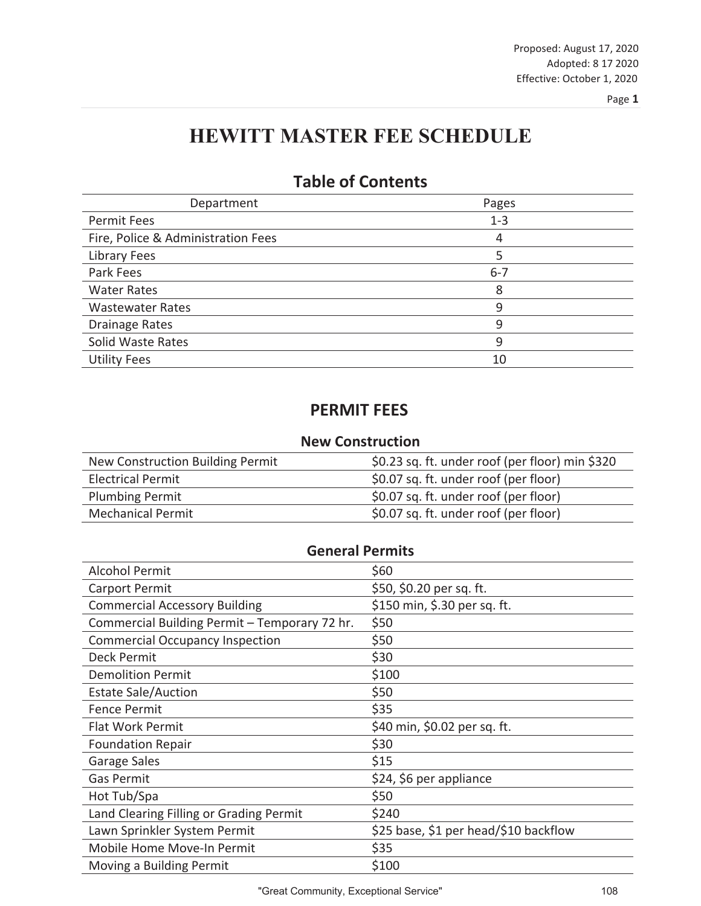# **HEWITT MASTER FEE SCHEDULE**

| Department                         | Pages   |
|------------------------------------|---------|
| <b>Permit Fees</b>                 | $1 - 3$ |
| Fire, Police & Administration Fees | 4       |
| <b>Library Fees</b>                | 5       |
| Park Fees                          | $6 - 7$ |
| <b>Water Rates</b>                 | 8       |
| <b>Wastewater Rates</b>            | 9       |
| <b>Drainage Rates</b>              | 9       |
| Solid Waste Rates                  | 9       |
| <b>Utility Fees</b>                | 10      |

## **Table of Contents**

### **PERMIT FEES**

#### **New Construction**

| New Construction Building Permit | \$0.23 sq. ft. under roof (per floor) min \$320 |
|----------------------------------|-------------------------------------------------|
| <b>Electrical Permit</b>         | \$0.07 sq. ft. under roof (per floor)           |
| <b>Plumbing Permit</b>           | \$0.07 sq. ft. under roof (per floor)           |
| <b>Mechanical Permit</b>         | \$0.07 sq. ft. under roof (per floor)           |

| <b>General Permits</b>                        |                                       |  |
|-----------------------------------------------|---------------------------------------|--|
| <b>Alcohol Permit</b>                         | \$60                                  |  |
| <b>Carport Permit</b>                         | \$50, \$0.20 per sq. ft.              |  |
| <b>Commercial Accessory Building</b>          | \$150 min, \$.30 per sq. ft.          |  |
| Commercial Building Permit - Temporary 72 hr. | \$50                                  |  |
| <b>Commercial Occupancy Inspection</b>        | \$50                                  |  |
| Deck Permit                                   | \$30                                  |  |
| <b>Demolition Permit</b>                      | \$100                                 |  |
| <b>Estate Sale/Auction</b>                    | \$50                                  |  |
| <b>Fence Permit</b>                           | \$35                                  |  |
| <b>Flat Work Permit</b>                       | \$40 min, \$0.02 per sq. ft.          |  |
| <b>Foundation Repair</b>                      | \$30                                  |  |
| Garage Sales                                  | \$15                                  |  |
| <b>Gas Permit</b>                             | \$24, \$6 per appliance               |  |
| Hot Tub/Spa                                   | \$50                                  |  |
| Land Clearing Filling or Grading Permit       | \$240                                 |  |
| Lawn Sprinkler System Permit                  | \$25 base, \$1 per head/\$10 backflow |  |
| Mobile Home Move-In Permit                    | \$35                                  |  |
| Moving a Building Permit                      | \$100                                 |  |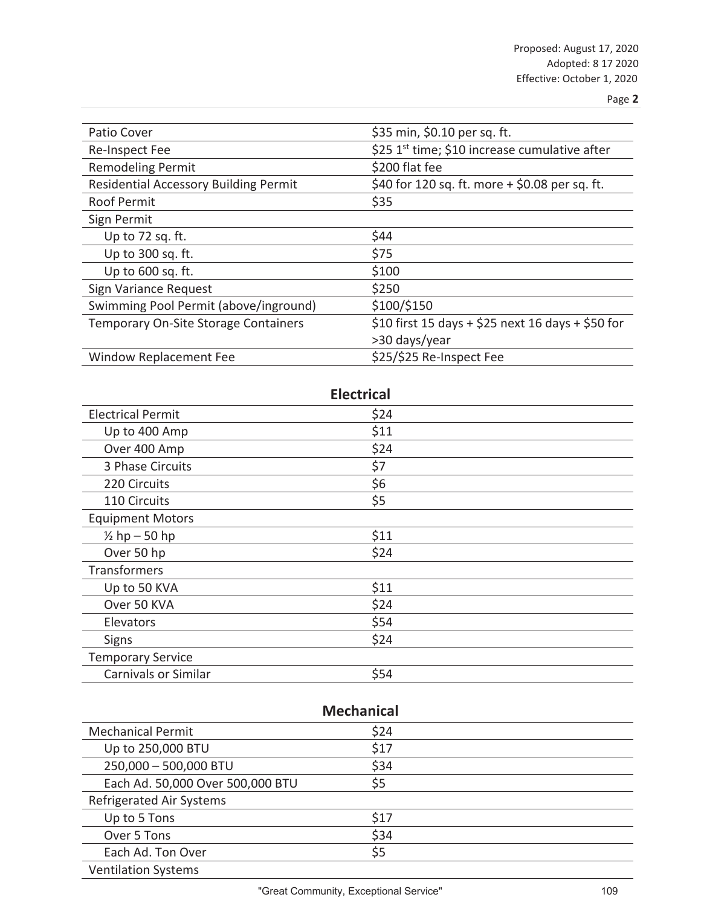| Patio Cover                                  | \$35 min, \$0.10 per sq. ft.                              |
|----------------------------------------------|-----------------------------------------------------------|
| Re-Inspect Fee                               | \$25 1 <sup>st</sup> time; \$10 increase cumulative after |
| <b>Remodeling Permit</b>                     | \$200 flat fee                                            |
| <b>Residential Accessory Building Permit</b> | \$40 for 120 sq. ft. more $+$ \$0.08 per sq. ft.          |
| <b>Roof Permit</b>                           | \$35                                                      |
| Sign Permit                                  |                                                           |
| Up to 72 sq. ft.                             | \$44                                                      |
| Up to 300 sq. ft.                            | \$75                                                      |
| Up to 600 sq. ft.                            | \$100                                                     |
| Sign Variance Request                        | \$250                                                     |
| Swimming Pool Permit (above/inground)        | \$100/\$150                                               |
| Temporary On-Site Storage Containers         | \$10 first 15 days + \$25 next 16 days + \$50 for         |
|                                              | >30 days/year                                             |
| Window Replacement Fee                       | \$25/\$25 Re-Inspect Fee                                  |

### **Electrical**

| <b>Electrical Permit</b>    | \$24 |  |
|-----------------------------|------|--|
| Up to 400 Amp               | \$11 |  |
| Over 400 Amp                | \$24 |  |
| 3 Phase Circuits            | \$7  |  |
| 220 Circuits                | \$6  |  |
| 110 Circuits                | \$5  |  |
| <b>Equipment Motors</b>     |      |  |
| $\frac{1}{2}$ hp - 50 hp    | \$11 |  |
| Over 50 hp                  | \$24 |  |
| Transformers                |      |  |
| Up to 50 KVA                | \$11 |  |
| Over 50 KVA                 | \$24 |  |
| Elevators                   | \$54 |  |
| <b>Signs</b>                | \$24 |  |
| <b>Temporary Service</b>    |      |  |
| <b>Carnivals or Similar</b> | \$54 |  |

| <b>Mechanical</b>                |      |  |
|----------------------------------|------|--|
| <b>Mechanical Permit</b>         | \$24 |  |
| Up to 250,000 BTU                | \$17 |  |
| 250,000 - 500,000 BTU            | \$34 |  |
| Each Ad. 50,000 Over 500,000 BTU | \$5  |  |
| <b>Refrigerated Air Systems</b>  |      |  |
| Up to 5 Tons                     | \$17 |  |
| Over 5 Tons                      | \$34 |  |
| Each Ad. Ton Over                | \$5  |  |
| <b>Ventilation Systems</b>       |      |  |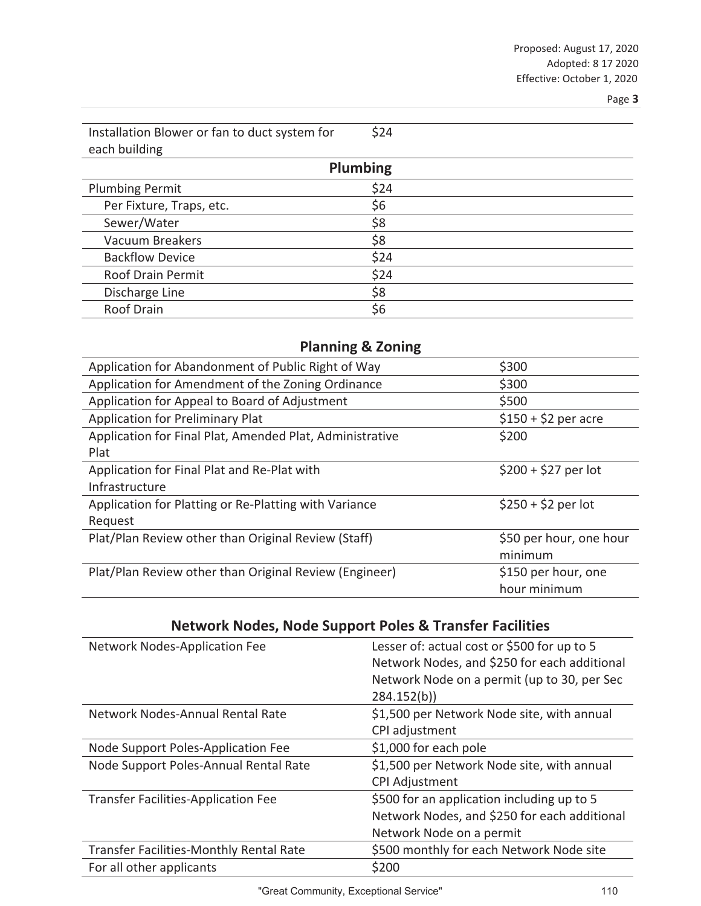$\overline{\phantom{0}}$ 

| Installation Blower or fan to duct system for | \$24 |  |
|-----------------------------------------------|------|--|
| each building                                 |      |  |
| <b>Plumbing</b>                               |      |  |

| <b>Plumbing Permit</b>   | \$24 |
|--------------------------|------|
| Per Fixture, Traps, etc. | \$6  |
| Sewer/Water              | \$8  |
| <b>Vacuum Breakers</b>   | \$8  |
| <b>Backflow Device</b>   | \$24 |
| <b>Roof Drain Permit</b> | \$24 |
| Discharge Line           | \$8  |
| Roof Drain               | \$6  |

### **Planning & Zoning**

| Application for Abandonment of Public Right of Way       | \$300                   |
|----------------------------------------------------------|-------------------------|
| Application for Amendment of the Zoning Ordinance        | \$300                   |
| Application for Appeal to Board of Adjustment            | \$500                   |
| Application for Preliminary Plat                         | $$150 + $2$ per acre    |
| Application for Final Plat, Amended Plat, Administrative | \$200                   |
| Plat                                                     |                         |
| Application for Final Plat and Re-Plat with              | $$200 + $27$ per lot    |
| Infrastructure                                           |                         |
| Application for Platting or Re-Platting with Variance    | $$250 + $2$ per lot     |
| Request                                                  |                         |
| Plat/Plan Review other than Original Review (Staff)      | \$50 per hour, one hour |
|                                                          | minimum                 |
| Plat/Plan Review other than Original Review (Engineer)   | \$150 per hour, one     |
|                                                          | hour minimum            |
|                                                          |                         |

# **Network Nodes, Node Support Poles & Transfer Facilities**

| Network Nodes-Application Fee              | Lesser of: actual cost or \$500 for up to 5<br>Network Nodes, and \$250 for each additional |
|--------------------------------------------|---------------------------------------------------------------------------------------------|
|                                            | Network Node on a permit (up to 30, per Sec                                                 |
|                                            | 284.152(b)                                                                                  |
| Network Nodes-Annual Rental Rate           | \$1,500 per Network Node site, with annual                                                  |
|                                            | CPI adjustment                                                                              |
| Node Support Poles-Application Fee         | \$1,000 for each pole                                                                       |
| Node Support Poles-Annual Rental Rate      | \$1,500 per Network Node site, with annual                                                  |
|                                            | <b>CPI Adjustment</b>                                                                       |
| <b>Transfer Facilities-Application Fee</b> | \$500 for an application including up to 5                                                  |
|                                            | Network Nodes, and \$250 for each additional                                                |
|                                            | Network Node on a permit                                                                    |
| Transfer Facilities-Monthly Rental Rate    | \$500 monthly for each Network Node site                                                    |
| For all other applicants                   | \$200                                                                                       |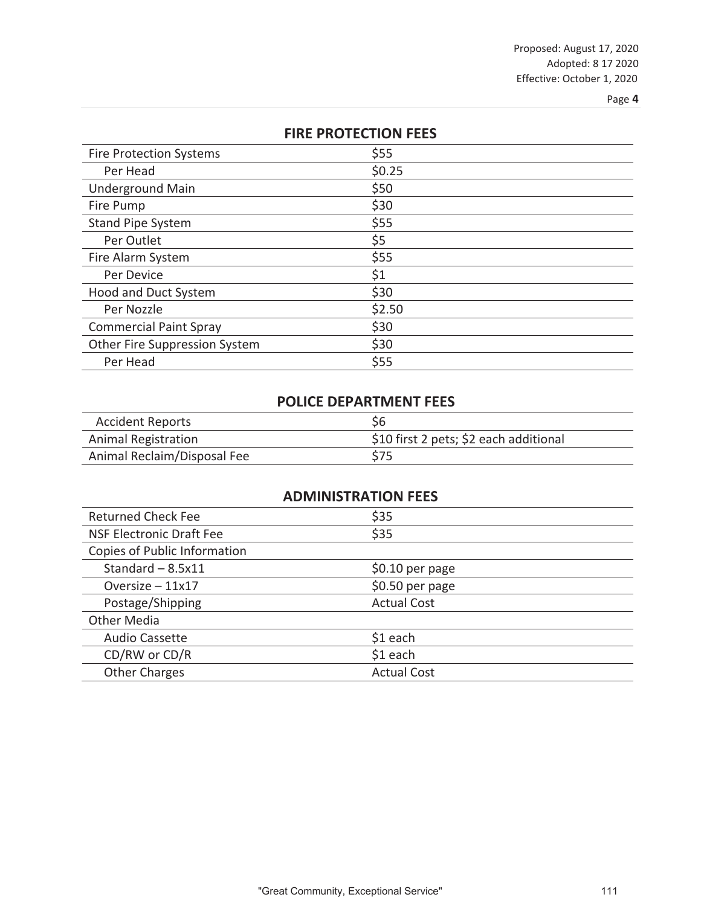| <b>FIRE PROTECTION FEES</b>    |        |  |
|--------------------------------|--------|--|
| <b>Fire Protection Systems</b> | \$55   |  |
| Per Head                       | \$0.25 |  |
| <b>Underground Main</b>        | \$50   |  |
| Fire Pump                      | \$30   |  |
| Stand Pipe System              | \$55   |  |
| Per Outlet                     | \$5    |  |
| Fire Alarm System              | \$55   |  |
| Per Device                     | \$1    |  |
| <b>Hood and Duct System</b>    | \$30   |  |
| Per Nozzle                     | \$2.50 |  |
| <b>Commercial Paint Spray</b>  | \$30   |  |
| Other Fire Suppression System  | \$30   |  |
| Per Head                       | \$55   |  |

### **POLICE DEPARTMENT FEES**

| <b>Accident Reports</b>     | \$6                                    |
|-----------------------------|----------------------------------------|
| <b>Animal Registration</b>  | \$10 first 2 pets; \$2 each additional |
| Animal Reclaim/Disposal Fee | \$75                                   |

| <b>ADMINISTRATION FEES</b>      |                    |  |
|---------------------------------|--------------------|--|
| <b>Returned Check Fee</b>       | \$35               |  |
| <b>NSF Electronic Draft Fee</b> | \$35               |  |
| Copies of Public Information    |                    |  |
| Standard $-8.5x11$              | \$0.10 per page    |  |
| Oversize $-11x17$               | $$0.50$ per page   |  |
| Postage/Shipping                | <b>Actual Cost</b> |  |
| Other Media                     |                    |  |
| <b>Audio Cassette</b>           | $$1$ each          |  |
| CD/RW or CD/R                   | $$1$ each          |  |
| <b>Other Charges</b>            | <b>Actual Cost</b> |  |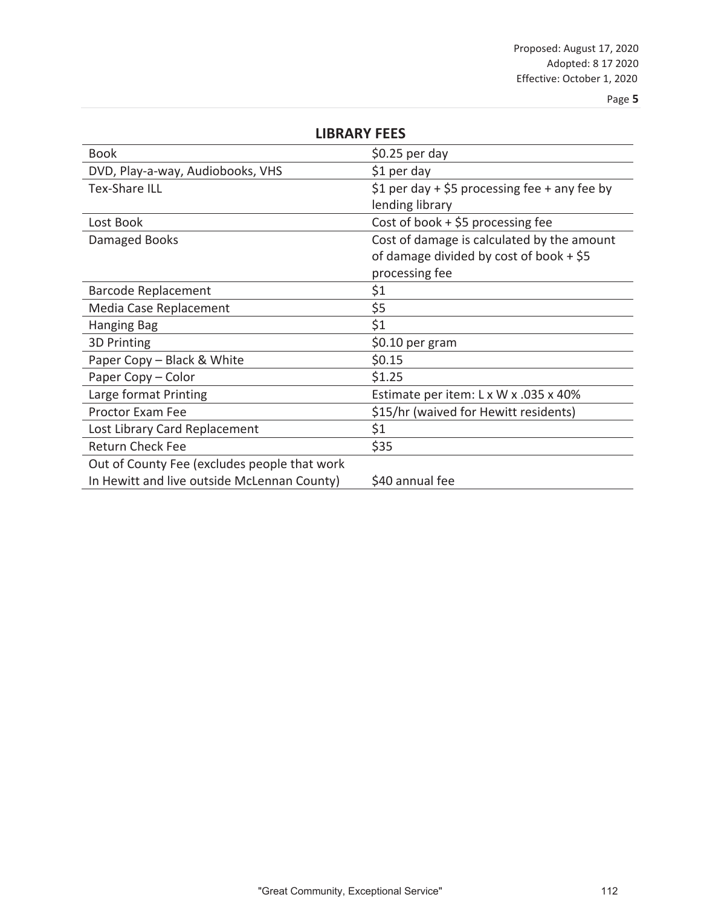| <b>LIBRARY FEES</b>                          |                                               |
|----------------------------------------------|-----------------------------------------------|
| Book                                         | \$0.25 per day                                |
| DVD, Play-a-way, Audiobooks, VHS             | \$1 per day                                   |
| <b>Tex-Share ILL</b>                         | \$1 per day + \$5 processing fee + any fee by |
|                                              | lending library                               |
| Lost Book                                    | Cost of book $+$ \$5 processing fee           |
| Damaged Books                                | Cost of damage is calculated by the amount    |
|                                              | of damage divided by cost of book $+$ \$5     |
|                                              | processing fee                                |
| <b>Barcode Replacement</b>                   | \$1                                           |
| Media Case Replacement                       | \$5                                           |
| Hanging Bag                                  | \$1                                           |
| 3D Printing                                  | \$0.10 per gram                               |
| Paper Copy - Black & White                   | \$0.15                                        |
| Paper Copy - Color                           | \$1.25                                        |
| Large format Printing                        | Estimate per item: L x W x .035 x 40%         |
| <b>Proctor Exam Fee</b>                      | \$15/hr (waived for Hewitt residents)         |
| Lost Library Card Replacement                | \$1                                           |
| <b>Return Check Fee</b>                      | \$35                                          |
| Out of County Fee (excludes people that work |                                               |
| In Hewitt and live outside McLennan County)  | \$40 annual fee                               |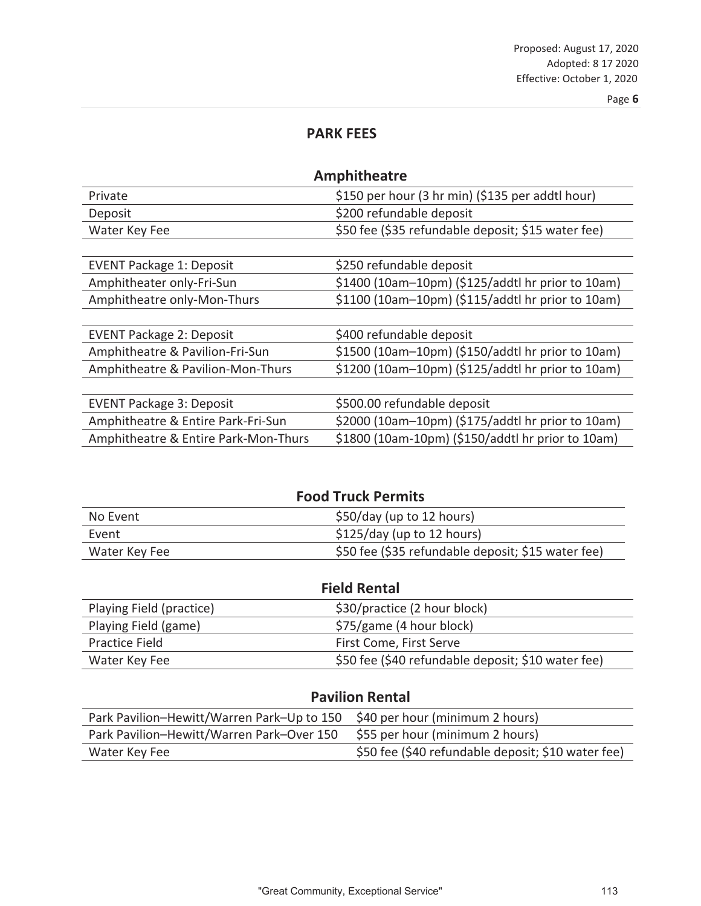### **PARK FEES**

| <b>Amphitheatre</b>                  |                                                    |
|--------------------------------------|----------------------------------------------------|
| Private                              | \$150 per hour (3 hr min) (\$135 per addtl hour)   |
| Deposit                              | \$200 refundable deposit                           |
| Water Key Fee                        | \$50 fee (\$35 refundable deposit; \$15 water fee) |
|                                      |                                                    |
| <b>EVENT Package 1: Deposit</b>      | \$250 refundable deposit                           |
| Amphitheater only-Fri-Sun            | \$1400 (10am-10pm) (\$125/addtl hr prior to 10am)  |
| Amphitheatre only-Mon-Thurs          | \$1100 (10am-10pm) (\$115/addtl hr prior to 10am)  |
|                                      |                                                    |
| <b>EVENT Package 2: Deposit</b>      | \$400 refundable deposit                           |
| Amphitheatre & Pavilion-Fri-Sun      | \$1500 (10am-10pm) (\$150/addtl hr prior to 10am)  |
| Amphitheatre & Pavilion-Mon-Thurs    | \$1200 (10am-10pm) (\$125/addtl hr prior to 10am)  |
|                                      |                                                    |
| <b>EVENT Package 3: Deposit</b>      | \$500.00 refundable deposit                        |
| Amphitheatre & Entire Park-Fri-Sun   | \$2000 (10am-10pm) (\$175/addtl hr prior to 10am)  |
| Amphitheatre & Entire Park-Mon-Thurs | \$1800 (10am-10pm) (\$150/addtl hr prior to 10am)  |

| <b>Food Truck Permits</b> |                                                    |
|---------------------------|----------------------------------------------------|
| No Event                  | \$50/day (up to 12 hours)                          |
| Event                     | $$125/day$ (up to 12 hours)                        |
| Water Key Fee             | \$50 fee (\$35 refundable deposit; \$15 water fee) |

| <b>Field Rental</b>      |                                                    |
|--------------------------|----------------------------------------------------|
| Playing Field (practice) | \$30/practice (2 hour block)                       |
| Playing Field (game)     | \$75/game (4 hour block)                           |
| Practice Field           | First Come, First Serve                            |
| Water Key Fee            | \$50 fee (\$40 refundable deposit; \$10 water fee) |

### **Pavilion Rental**

| Park Pavilion-Hewitt/Warren Park-Up to 150 \$40 per hour (minimum 2 hours) |                                                    |
|----------------------------------------------------------------------------|----------------------------------------------------|
| Park Pavilion-Hewitt/Warren Park-Over 150                                  | \$55 per hour (minimum 2 hours)                    |
| Water Key Fee                                                              | \$50 fee (\$40 refundable deposit; \$10 water fee) |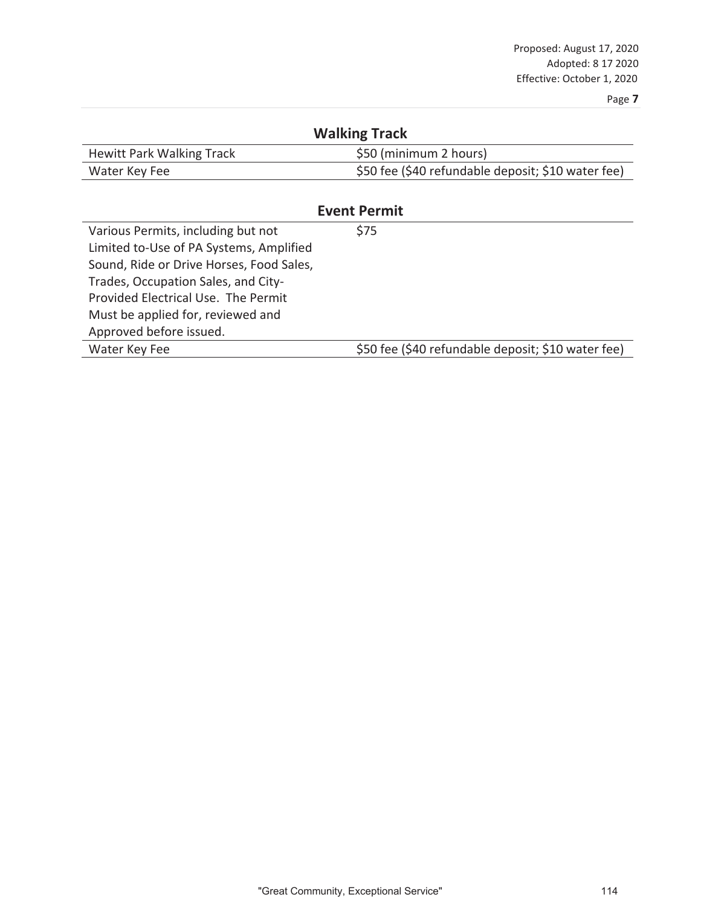| <b>Walking Track</b>                     |                                                    |  |
|------------------------------------------|----------------------------------------------------|--|
| <b>Hewitt Park Walking Track</b>         | \$50 (minimum 2 hours)                             |  |
| Water Key Fee                            | \$50 fee (\$40 refundable deposit; \$10 water fee) |  |
|                                          |                                                    |  |
| <b>Event Permit</b>                      |                                                    |  |
| Various Permits, including but not       | \$75                                               |  |
| Limited to-Use of PA Systems, Amplified  |                                                    |  |
| Sound, Ride or Drive Horses, Food Sales, |                                                    |  |
| Trades, Occupation Sales, and City-      |                                                    |  |
| Provided Flectrical Use. The Permit      |                                                    |  |
| Must be applied for, reviewed and        |                                                    |  |
| Approved before issued.                  |                                                    |  |
| Water Key Fee                            | \$50 fee (\$40 refundable deposit; \$10 water fee) |  |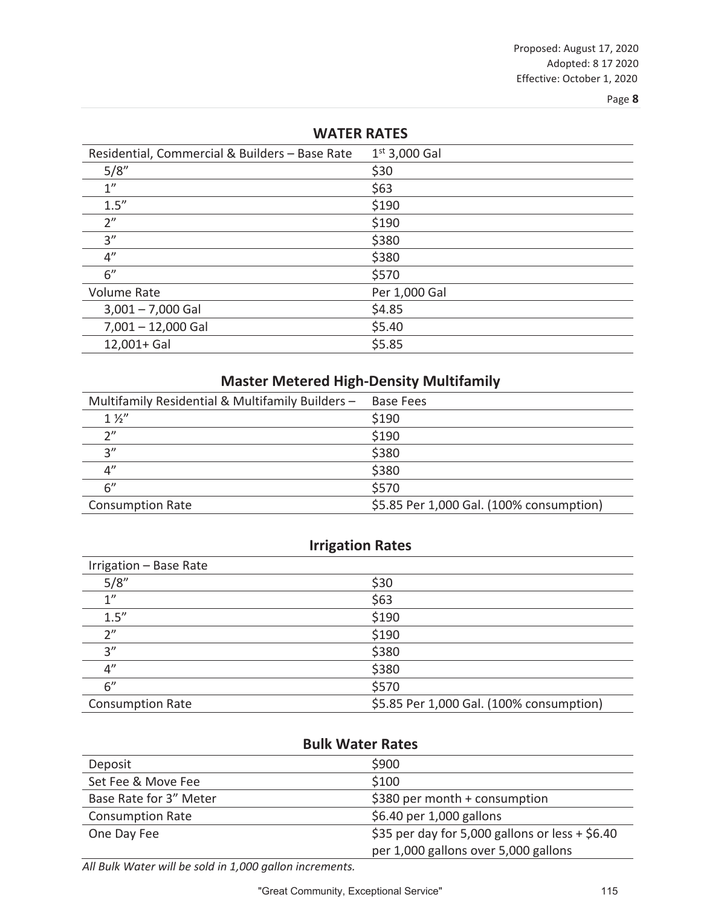| <b>WAILK RAILS</b> |  |  |
|--------------------|--|--|
| $1^{st}$ 3,000 Gal |  |  |
| \$30               |  |  |
| \$63               |  |  |
| \$190              |  |  |
| \$190              |  |  |
| \$380              |  |  |
| \$380              |  |  |
| \$570              |  |  |
| Per 1,000 Gal      |  |  |
| \$4.85             |  |  |
| \$5.40             |  |  |
| \$5.85             |  |  |
|                    |  |  |

**WATER RATES**

### **Master Metered High-Density Multifamily**

| Multifamily Residential & Multifamily Builders - | <b>Base Fees</b>                         |
|--------------------------------------------------|------------------------------------------|
| $1\frac{1}{2}$                                   | \$190                                    |
| $\gamma$ "                                       | \$190                                    |
| 2"                                               | \$380                                    |
| 4"                                               | \$380                                    |
| 6"                                               | \$570                                    |
| <b>Consumption Rate</b>                          | \$5.85 Per 1,000 Gal. (100% consumption) |

### **Irrigation Rates**

| Irrigation - Base Rate  |                                          |
|-------------------------|------------------------------------------|
| 5/8"                    | \$30                                     |
| 1"                      | \$63                                     |
| 1.5''                   | \$190                                    |
| 2"                      | \$190                                    |
| 3''                     | \$380                                    |
| 4"                      | \$380                                    |
| 6''                     | \$570                                    |
| <b>Consumption Rate</b> | \$5.85 Per 1,000 Gal. (100% consumption) |

### **Bulk Water Rates**

| Deposit                 | \$900                                           |
|-------------------------|-------------------------------------------------|
| Set Fee & Move Fee      | \$100                                           |
| Base Rate for 3" Meter  | \$380 per month $+$ consumption                 |
| <b>Consumption Rate</b> | \$6.40 per 1,000 gallons                        |
| One Day Fee             | \$35 per day for 5,000 gallons or less + \$6.40 |
|                         | per 1,000 gallons over 5,000 gallons            |

*All Bulk Water will be sold in 1,000 gallon increments.*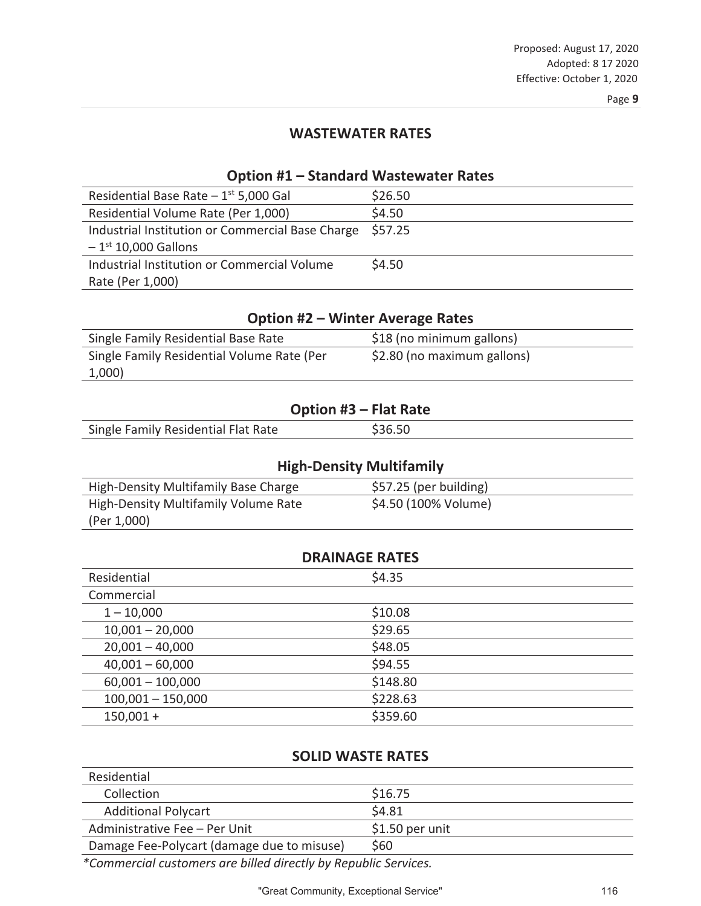### **WASTEWATER RATES**

#### **Option #1 – Standard Wastewater Rates**

| Residential Base Rate $-1$ <sup>st</sup> 5,000 Gal | \$26.50 |
|----------------------------------------------------|---------|
| Residential Volume Rate (Per 1,000)                | \$4.50  |
| Industrial Institution or Commercial Base Charge   | \$57.25 |
| $-1$ <sup>st</sup> 10,000 Gallons                  |         |
| Industrial Institution or Commercial Volume        | \$4.50  |
| Rate (Per 1,000)                                   |         |

### **Option #2 – Winter Average Rates**

| Single Family Residential Base Rate        | \$18 (no minimum gallons)   |
|--------------------------------------------|-----------------------------|
| Single Family Residential Volume Rate (Per | \$2.80 (no maximum gallons) |
| 1,000)                                     |                             |

#### **Option #3 – Flat Rate**

| Single Family Residential Flat Rate |  |
|-------------------------------------|--|
|                                     |  |

| <b>High-Density Multifamily</b>      |                        |
|--------------------------------------|------------------------|
| High-Density Multifamily Base Charge | \$57.25 (per building) |
| High-Density Multifamily Volume Rate | \$4.50 (100% Volume)   |
| (Per 1,000)                          |                        |

| <b>DRAINAGE RATES</b> |          |  |
|-----------------------|----------|--|
| Residential           | \$4.35   |  |
| Commercial            |          |  |
| $1 - 10,000$          | \$10.08  |  |
| $10,001 - 20,000$     | \$29.65  |  |
| $20,001 - 40,000$     | \$48.05  |  |
| $40,001 - 60,000$     | \$94.55  |  |
| $60,001 - 100,000$    | \$148.80 |  |
| $100,001 - 150,000$   | \$228.63 |  |
| $150,001 +$           | \$359.60 |  |

### **SOLID WASTE RATES**

| Residential                                |                  |
|--------------------------------------------|------------------|
| Collection                                 | \$16.75          |
| <b>Additional Polycart</b>                 | \$4.81           |
| Administrative Fee - Per Unit              | $$1.50$ per unit |
| Damage Fee-Polycart (damage due to misuse) | \$60             |

*\*Commercial customers are billed directly by Republic Services.*